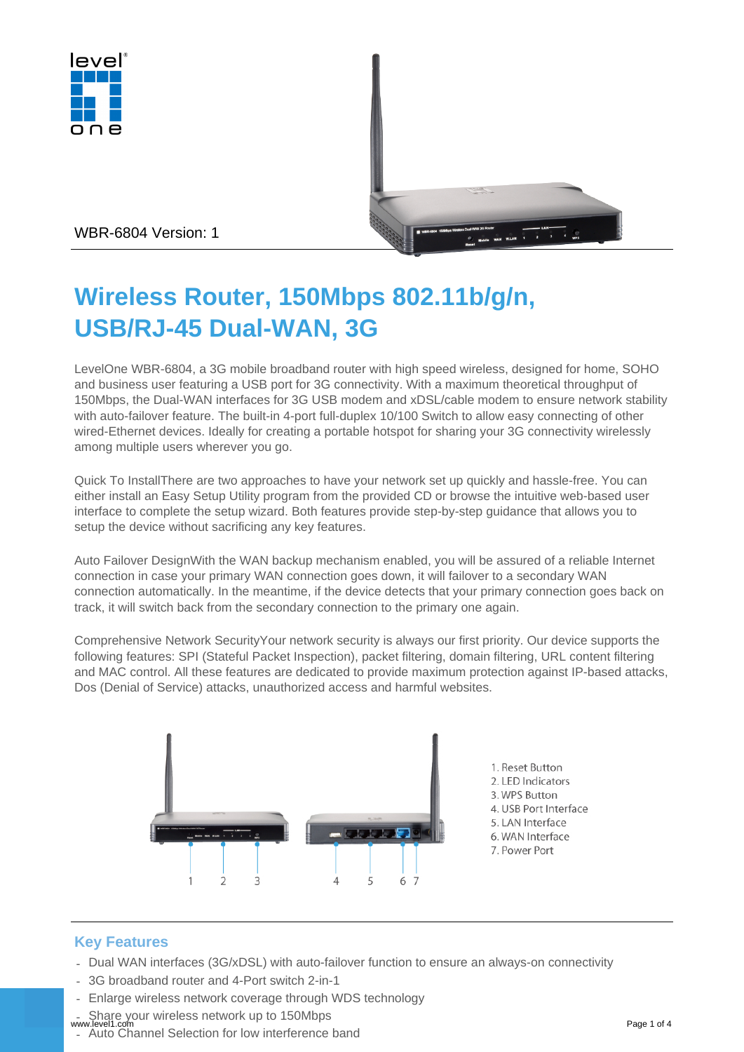



WBR-6804 Version: 1

# **Wireless Router, 150Mbps 802.11b/g/n, USB/RJ-45 Dual-WAN, 3G**

LevelOne WBR-6804, a 3G mobile broadband router with high speed wireless, designed for home, SOHO and business user featuring a USB port for 3G connectivity. With a maximum theoretical throughput of 150Mbps, the Dual-WAN interfaces for 3G USB modem and xDSL/cable modem to ensure network stability with auto-failover feature. The built-in 4-port full-duplex 10/100 Switch to allow easy connecting of other wired-Ethernet devices. Ideally for creating a portable hotspot for sharing your 3G connectivity wirelessly among multiple users wherever you go.

Quick To InstallThere are two approaches to have your network set up quickly and hassle-free. You can either install an Easy Setup Utility program from the provided CD or browse the intuitive web-based user interface to complete the setup wizard. Both features provide step-by-step guidance that allows you to setup the device without sacrificing any key features.

Auto Failover DesignWith the WAN backup mechanism enabled, you will be assured of a reliable Internet connection in case your primary WAN connection goes down, it will failover to a secondary WAN connection automatically. In the meantime, if the device detects that your primary connection goes back on track, it will switch back from the secondary connection to the primary one again.

Comprehensive Network SecurityYour network security is always our first priority. Our device supports the following features: SPI (Stateful Packet Inspection), packet filtering, domain filtering, URL content filtering and MAC control. All these features are dedicated to provide maximum protection against IP-based attacks, Dos (Denial of Service) attacks, unauthorized access and harmful websites.



# **Key Features**

- Dual WAN interfaces (3G/xDSL) with auto-failover function to ensure an always-on connectivity
- 3G broadband router and 4-Port switch 2-in-1
- Enlarge wireless network coverage through WDS technology
- Share your wireless network up to 150Mbps www.level1.com Page 1 of 4
- Auto Channel Selection for low interference band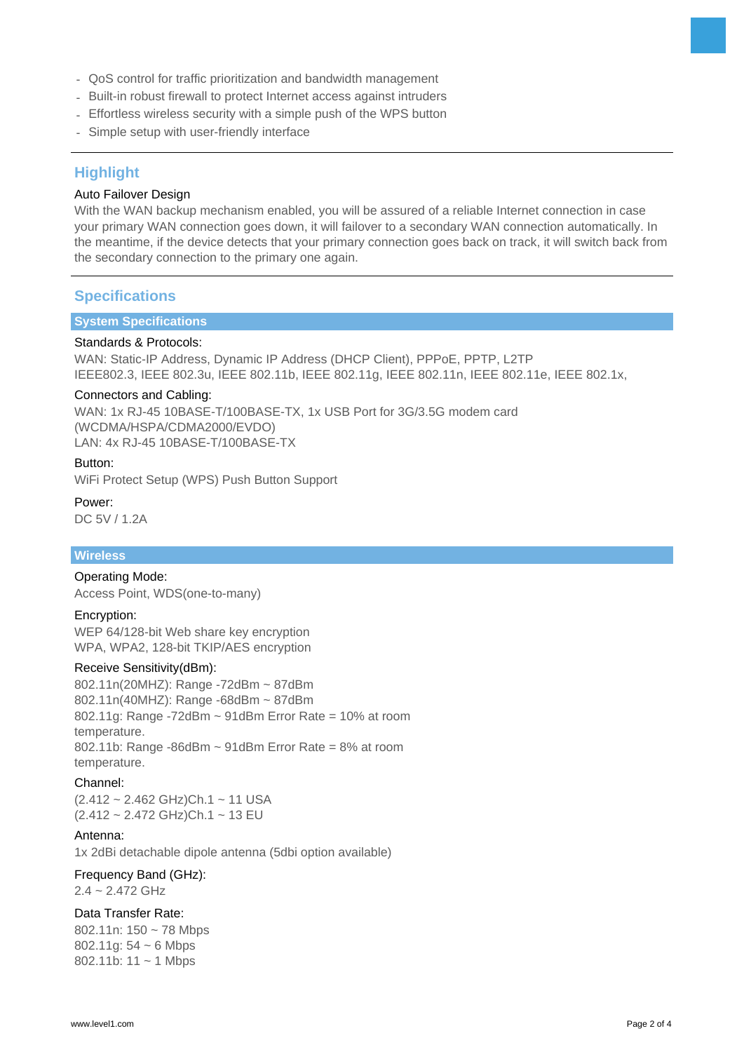- QoS control for traffic prioritization and bandwidth management
- Built-in robust firewall to protect Internet access against intruders
- Effortless wireless security with a simple push of the WPS button
- Simple setup with user-friendly interface

# **Highlight**

## Auto Failover Design

With the WAN backup mechanism enabled, you will be assured of a reliable Internet connection in case your primary WAN connection goes down, it will failover to a secondary WAN connection automatically. In the meantime, if the device detects that your primary connection goes back on track, it will switch back from the secondary connection to the primary one again.

## **Specifications**

## **System Specifications**

#### Standards & Protocols:

WAN: Static-IP Address, Dynamic IP Address (DHCP Client), PPPoE, PPTP, L2TP IEEE802.3, IEEE 802.3u, IEEE 802.11b, IEEE 802.11g, IEEE 802.11n, IEEE 802.11e, IEEE 802.1x,

#### Connectors and Cabling:

WAN: 1x RJ-45 10BASE-T/100BASE-TX, 1x USB Port for 3G/3.5G modem card (WCDMA/HSPA/CDMA2000/EVDO) LAN: 4x RJ-45 10BASE-T/100BASE-TX

#### Button:

WiFi Protect Setup (WPS) Push Button Support

Power: DC 5V / 1.2A

## **Wireless**

#### Operating Mode:

Access Point, WDS(one-to-many)

#### Encryption:

WEP 64/128-bit Web share key encryption WPA, WPA2, 128-bit TKIP/AES encryption

#### Receive Sensitivity(dBm):

802.11n(20MHZ): Range -72dBm ~ 87dBm 802.11n(40MHZ): Range -68dBm ~ 87dBm 802.11g: Range -72dBm ~ 91dBm Error Rate = 10% at room temperature. 802.11b: Range -86dBm  $\sim$  91dBm Error Rate = 8% at room temperature.

#### Channel:

(2.412 ~ 2.462 GHz)Ch.1 ~ 11 USA (2.412 ~ 2.472 GHz)Ch.1 ~ 13 EU

#### Antenna:

1x 2dBi detachable dipole antenna (5dbi option available)

## Frequency Band (GHz):

2.4 ~ 2.472 GHz

## Data Transfer Rate:

802.11n: 150 ~ 78 Mbps 802.11g: 54 ~ 6 Mbps 802.11b: 11 ~ 1 Mbps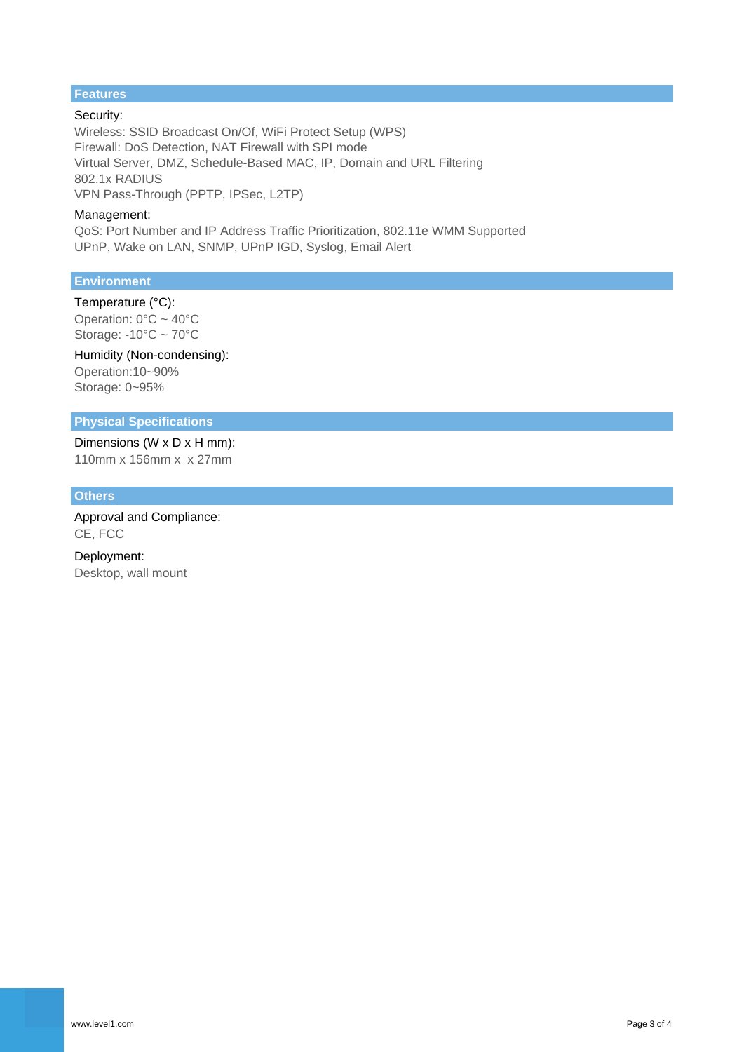# **Features**

Security: Wireless: SSID Broadcast On/Of, WiFi Protect Setup (WPS) Firewall: DoS Detection, NAT Firewall with SPI mode Virtual Server, DMZ, Schedule-Based MAC, IP, Domain and URL Filtering 802.1x RADIUS VPN Pass-Through (PPTP, IPSec, L2TP)

#### Management:

QoS: Port Number and IP Address Traffic Prioritization, 802.11e WMM Supported UPnP, Wake on LAN, SNMP, UPnP IGD, Syslog, Email Alert

#### **Environment**

Temperature (°C): Operation:  $0^{\circ}$ C ~ 40°C Storage: -10°C ~ 70°C

Humidity (Non-condensing): Operation:10~90% Storage: 0~95%

#### **Physical Specifications**

Dimensions (W x D x H mm): 110mm x 156mm x x 27mm

#### **Others**

Approval and Compliance: CE, FCC

Deployment: Desktop, wall mount